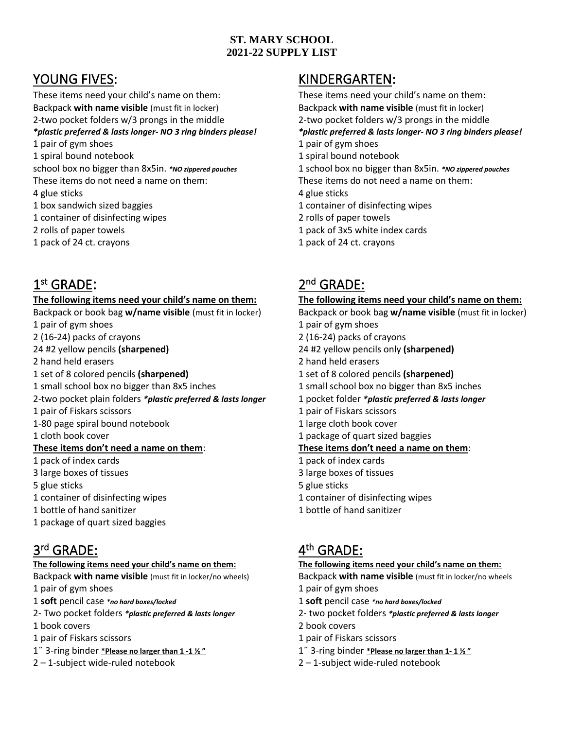## **ST. MARY SCHOOL 2021-22 SUPPLY LIST**

These items need your child's name on them: These items need your child's name on them: Backpack **with name visible** (must fit in locker) Backpack **with name visible** (must fit in locker) 2-two pocket folders w/3 prongs in the middle 2-two pocket folders w/3 prongs in the middle 1 pair of gym shoes 1 pair of gym shoes 1 pair of gym shoes 1 spiral bound notebook 1 spiral bound notebook school box no bigger than 8x5in. *\*NO zippered pouches* 1 school box no bigger than 8x5in. *\*NO zippered pouches* These items do not need a name on them: These items do not need a name on them: 4 glue sticks 4 glue sticks 1 box sandwich sized baggies 1 container of disinfecting wipes 1 container of disinfecting wipes 2 rolls of paper towels 2 rolls of paper towels 1 pack of 3x5 white index cards 1 pack of 24 ct. crayons 1 pack of 24 ct. crayons

## 1 st GRADE: 2

1 pair of gym shoes 1 pair of gym shoes 1 pair of gym shoes 2 (16-24) packs of crayons 2 (16-24) packs of crayons 24 #2 yellow pencils **(sharpened)** 24 #2 yellow pencils only **(sharpened)** 2 hand held erasers 2 hand held erasers 1 set of 8 colored pencils **(sharpened)** 1 set of 8 colored pencils **(sharpened)** 1 small school box no bigger than 8x5 inches 1 small school box no bigger than 8x5 inches 2-two pocket plain folders *\*plastic preferred & lasts longer* 1 pocket folder *\*plastic preferred & lasts longer* 1 pair of Fiskars scissors 1 pair of Fiskars scissors 1-80 page spiral bound notebook 1 large cloth book cover 1 cloth book cover 1 package of quart sized baggies **These items don't need a name on them**: **These items don't need a name on them**: 1 pack of index cards 1 pack of index cards 3 large boxes of tissues 3 large boxes of tissues 5 glue sticks 5 glue sticks 1 container of disinfecting wipes 1 container of disinfecting wipes 1 bottle of hand sanitizer 1 bottle of hand sanitizer 1 package of quart sized baggies

## 3 rd GRADE: 4

- Backpack **with name visible** (must fit in locker/no wheels) Backpack **with name visible** (must fit in locker/no wheels 1 pair of gym shoes 1 pair of gym shoes 1 pair of gym shoes
- 1 **soft** pencil case *\*no hard boxes/locked* 1 **soft** pencil case *\*no hard boxes/locked*
- 2- Two pocket folders *\*plastic preferred & lasts longer* 2- two pocket folders *\*plastic preferred & lasts longer*
- 1 book covers 2 book covers
- 1 pair of Fiskars scissors 1 pair of Fiskars scissors
- 
- 

## YOUNG FIVES: KINDERGARTEN:

*\*plastic preferred & lasts longer- NO 3 ring binders please! \*plastic preferred & lasts longer- NO 3 ring binders please!*

# nd GRADE:

### **The following items need your child's name on them: The following items need your child's name on them:**

Backpack or book bag **w/name visible** (must fit in locker) Backpack or book bag **w/name visible** (must fit in locker)

- 
- 
- 
- 

# th GRADE:

### **The following items need your child's name on them: The following items need your child's name on them:**

- 
- 
- 
- 
- 
- 1˝ 3-ring binder **\*Please no larger than 1 -1 ½ "** 1˝ 3-ring binder **\*Please no larger than 1- 1 ½ "**
- 2 1-subject wide-ruled notebook 2 1-subject wide-ruled notebook